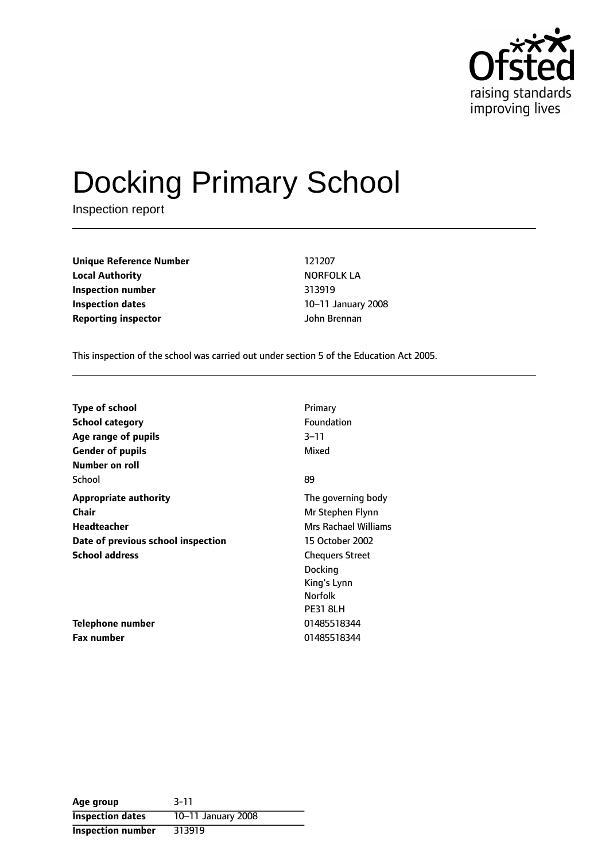

# Docking Primary School

Inspection report

**Unique Reference Number** 121207 **Local Authority NORFOLK LA Inspection number** 313919 **Inspection dates** 10-11 January 2008 **Reporting inspector** John Brennan

This inspection of the school was carried out under section 5 of the Education Act 2005.

| <b>Type of school</b>              | Primary                     |
|------------------------------------|-----------------------------|
| School category                    | Foundation                  |
| Age range of pupils                | $3 - 11$                    |
| <b>Gender of pupils</b>            | Mixed                       |
| Number on roll                     |                             |
| School                             | 89                          |
| <b>Appropriate authority</b>       | The governing body          |
| <b>Chair</b>                       | Mr Stephen Flynn            |
| Headteacher                        | <b>Mrs Rachael Williams</b> |
| Date of previous school inspection | 15 October 2002             |
| <b>School address</b>              | <b>Chequers Street</b>      |
|                                    | Docking                     |
|                                    | King's Lynn                 |
|                                    | <b>Norfolk</b>              |
|                                    | <b>PE31 8LH</b>             |
| Telephone number                   | 01485518344                 |
| Fax number                         | 01485518344                 |

| Age group                | $3 - 11$           |
|--------------------------|--------------------|
| <b>Inspection dates</b>  | 10-11 January 2008 |
| <b>Inspection number</b> | 313919             |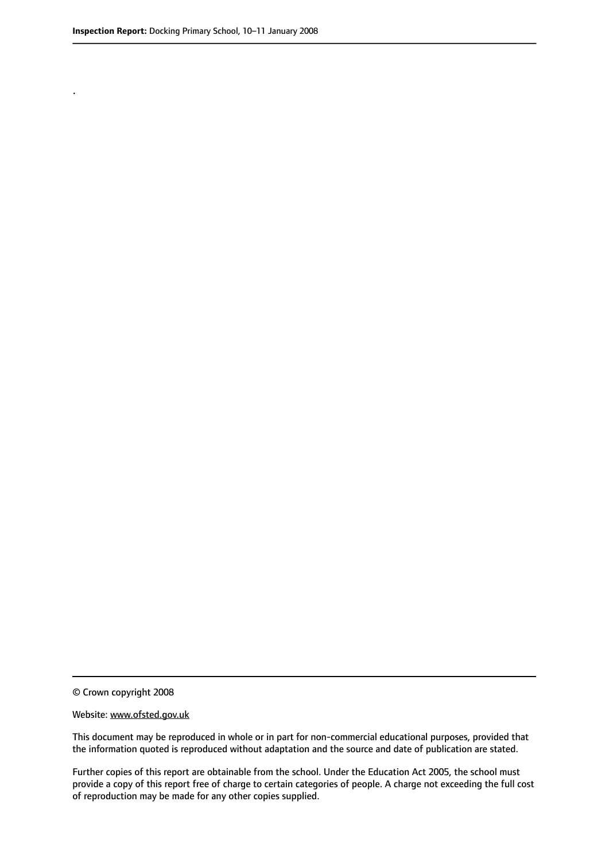.

© Crown copyright 2008

#### Website: www.ofsted.gov.uk

This document may be reproduced in whole or in part for non-commercial educational purposes, provided that the information quoted is reproduced without adaptation and the source and date of publication are stated.

Further copies of this report are obtainable from the school. Under the Education Act 2005, the school must provide a copy of this report free of charge to certain categories of people. A charge not exceeding the full cost of reproduction may be made for any other copies supplied.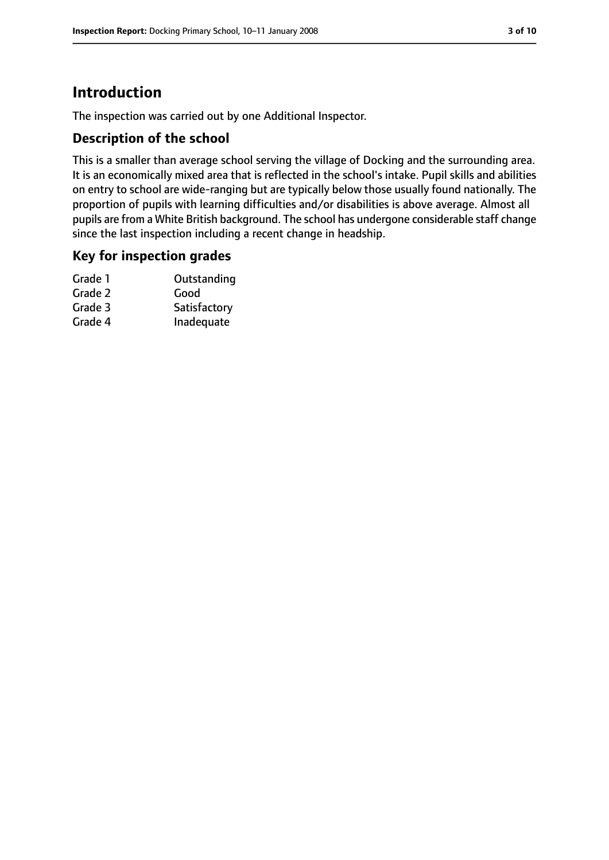# **Introduction**

The inspection was carried out by one Additional Inspector.

## **Description of the school**

This is a smaller than average school serving the village of Docking and the surrounding area. It is an economically mixed area that is reflected in the school's intake. Pupil skills and abilities on entry to school are wide-ranging but are typically below those usually found nationally. The proportion of pupils with learning difficulties and/or disabilities is above average. Almost all pupils are from a White British background. The school has undergone considerable staff change since the last inspection including a recent change in headship.

#### **Key for inspection grades**

| Grade 1 | Outstanding  |
|---------|--------------|
| Grade 2 | Good         |
| Grade 3 | Satisfactory |
| Grade 4 | Inadequate   |
|         |              |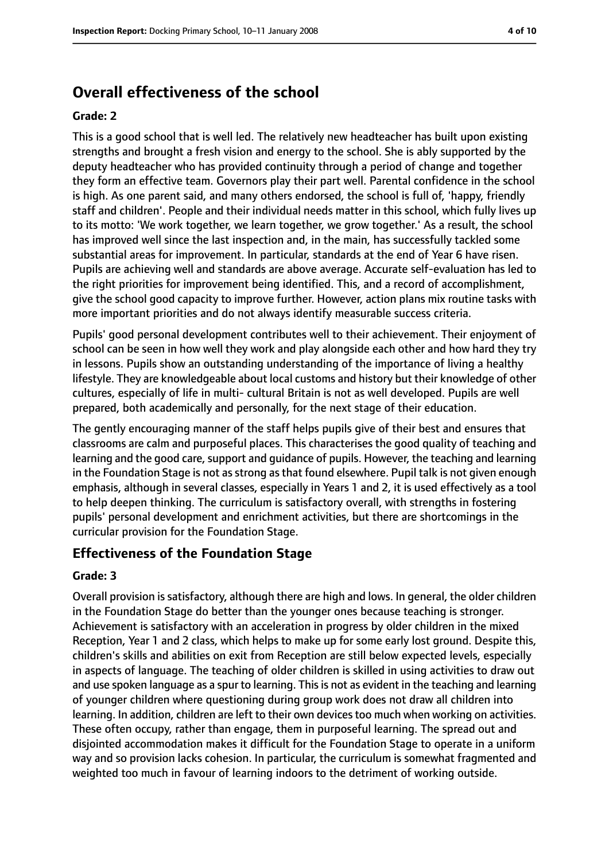# **Overall effectiveness of the school**

#### **Grade: 2**

This is a good school that is well led. The relatively new headteacher has built upon existing strengths and brought a fresh vision and energy to the school. She is ably supported by the deputy headteacher who has provided continuity through a period of change and together they form an effective team. Governors play their part well. Parental confidence in the school is high. As one parent said, and many others endorsed, the school is full of, 'happy, friendly staff and children'. People and their individual needs matter in this school, which fully lives up to its motto: 'We work together, we learn together, we grow together.' As a result, the school has improved well since the last inspection and, in the main, has successfully tackled some substantial areas for improvement. In particular, standards at the end of Year 6 have risen. Pupils are achieving well and standards are above average. Accurate self-evaluation has led to the right priorities for improvement being identified. This, and a record of accomplishment, give the school good capacity to improve further. However, action plans mix routine tasks with more important priorities and do not always identify measurable success criteria.

Pupils' good personal development contributes well to their achievement. Their enjoyment of school can be seen in how well they work and play alongside each other and how hard they try in lessons. Pupils show an outstanding understanding of the importance of living a healthy lifestyle. They are knowledgeable about local customs and history but their knowledge of other cultures, especially of life in multi- cultural Britain is not as well developed. Pupils are well prepared, both academically and personally, for the next stage of their education.

The gently encouraging manner of the staff helps pupils give of their best and ensures that classrooms are calm and purposeful places. This characterises the good quality of teaching and learning and the good care, support and guidance of pupils. However, the teaching and learning in the Foundation Stage is not as strong as that found elsewhere. Pupil talk is not given enough emphasis, although in several classes, especially in Years 1 and 2, it is used effectively as a tool to help deepen thinking. The curriculum is satisfactory overall, with strengths in fostering pupils' personal development and enrichment activities, but there are shortcomings in the curricular provision for the Foundation Stage.

#### **Effectiveness of the Foundation Stage**

#### **Grade: 3**

Overall provision is satisfactory, although there are high and lows. In general, the older children in the Foundation Stage do better than the younger ones because teaching is stronger. Achievement is satisfactory with an acceleration in progress by older children in the mixed Reception, Year 1 and 2 class, which helps to make up for some early lost ground. Despite this, children's skills and abilities on exit from Reception are still below expected levels, especially in aspects of language. The teaching of older children is skilled in using activities to draw out and use spoken language as a spur to learning. This is not as evident in the teaching and learning of younger children where questioning during group work does not draw all children into learning. In addition, children are left to their own devices too much when working on activities. These often occupy, rather than engage, them in purposeful learning. The spread out and disjointed accommodation makes it difficult for the Foundation Stage to operate in a uniform way and so provision lacks cohesion. In particular, the curriculum is somewhat fragmented and weighted too much in favour of learning indoors to the detriment of working outside.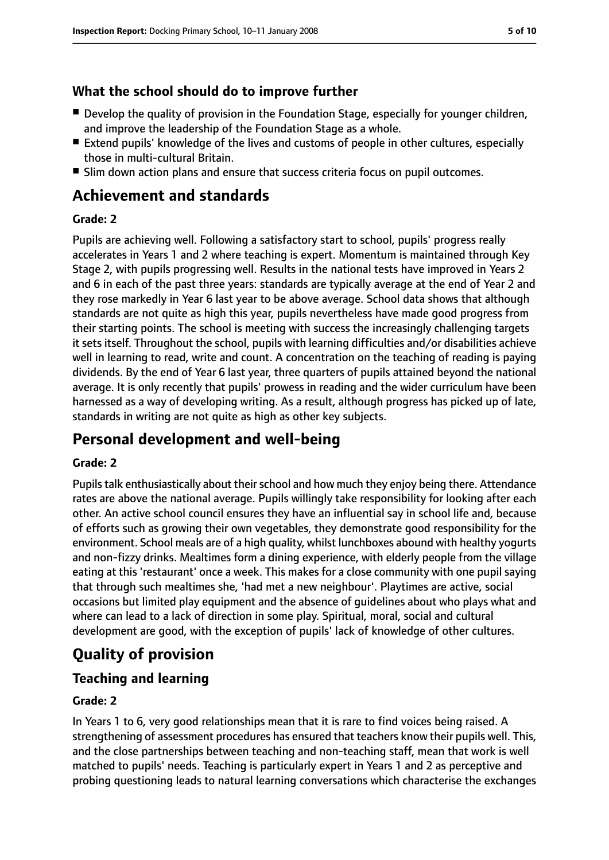## **What the school should do to improve further**

- Develop the quality of provision in the Foundation Stage, especially for younger children, and improve the leadership of the Foundation Stage as a whole.
- Extend pupils' knowledge of the lives and customs of people in other cultures, especially those in multi-cultural Britain.
- Slim down action plans and ensure that success criteria focus on pupil outcomes.

# **Achievement and standards**

#### **Grade: 2**

Pupils are achieving well. Following a satisfactory start to school, pupils' progress really accelerates in Years 1 and 2 where teaching is expert. Momentum is maintained through Key Stage 2, with pupils progressing well. Results in the national tests have improved in Years 2 and 6 in each of the past three years: standards are typically average at the end of Year 2 and they rose markedly in Year 6 last year to be above average. School data shows that although standards are not quite as high this year, pupils nevertheless have made good progress from their starting points. The school is meeting with success the increasingly challenging targets it sets itself. Throughout the school, pupils with learning difficulties and/or disabilities achieve well in learning to read, write and count. A concentration on the teaching of reading is paying dividends. By the end of Year 6 last year, three quarters of pupils attained beyond the national average. It is only recently that pupils' prowess in reading and the wider curriculum have been harnessed as a way of developing writing. As a result, although progress has picked up of late, standards in writing are not quite as high as other key subjects.

# **Personal development and well-being**

#### **Grade: 2**

Pupils talk enthusiastically about their school and how much they enjoy being there. Attendance rates are above the national average. Pupils willingly take responsibility for looking after each other. An active school council ensures they have an influential say in school life and, because of efforts such as growing their own vegetables, they demonstrate good responsibility for the environment. School meals are of a high quality, whilst lunchboxes abound with healthy yogurts and non-fizzy drinks. Mealtimes form a dining experience, with elderly people from the village eating at this 'restaurant' once a week. This makes for a close community with one pupil saying that through such mealtimes she, 'had met a new neighbour'. Playtimes are active, social occasions but limited play equipment and the absence of guidelines about who plays what and where can lead to a lack of direction in some play. Spiritual, moral, social and cultural development are good, with the exception of pupils' lack of knowledge of other cultures.

# **Quality of provision**

## **Teaching and learning**

#### **Grade: 2**

In Years 1 to 6, very good relationships mean that it is rare to find voices being raised. A strengthening of assessment procedures has ensured that teachers know their pupils well. This, and the close partnerships between teaching and non-teaching staff, mean that work is well matched to pupils' needs. Teaching is particularly expert in Years 1 and 2 as perceptive and probing questioning leads to natural learning conversations which characterise the exchanges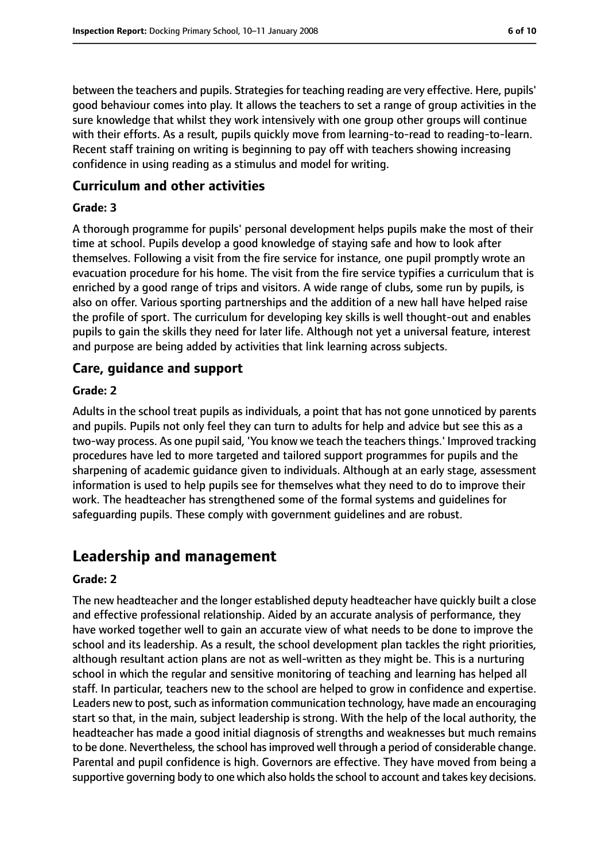between the teachers and pupils. Strategies for teaching reading are very effective. Here, pupils' good behaviour comes into play. It allows the teachers to set a range of group activities in the sure knowledge that whilst they work intensively with one group other groups will continue with their efforts. As a result, pupils quickly move from learning-to-read to reading-to-learn. Recent staff training on writing is beginning to pay off with teachers showing increasing confidence in using reading as a stimulus and model for writing.

#### **Curriculum and other activities**

#### **Grade: 3**

A thorough programme for pupils' personal development helps pupils make the most of their time at school. Pupils develop a good knowledge of staying safe and how to look after themselves. Following a visit from the fire service for instance, one pupil promptly wrote an evacuation procedure for his home. The visit from the fire service typifies a curriculum that is enriched by a good range of trips and visitors. A wide range of clubs, some run by pupils, is also on offer. Various sporting partnerships and the addition of a new hall have helped raise the profile of sport. The curriculum for developing key skills is well thought-out and enables pupils to gain the skills they need for later life. Although not yet a universal feature, interest and purpose are being added by activities that link learning across subjects.

#### **Care, guidance and support**

#### **Grade: 2**

Adults in the school treat pupils as individuals, a point that has not gone unnoticed by parents and pupils. Pupils not only feel they can turn to adults for help and advice but see this as a two-way process. As one pupil said, 'You know we teach the teachers things.' Improved tracking procedures have led to more targeted and tailored support programmes for pupils and the sharpening of academic guidance given to individuals. Although at an early stage, assessment information is used to help pupils see for themselves what they need to do to improve their work. The headteacher has strengthened some of the formal systems and guidelines for safeguarding pupils. These comply with government guidelines and are robust.

# **Leadership and management**

#### **Grade: 2**

The new headteacher and the longer established deputy headteacher have quickly built a close and effective professional relationship. Aided by an accurate analysis of performance, they have worked together well to gain an accurate view of what needs to be done to improve the school and its leadership. As a result, the school development plan tackles the right priorities, although resultant action plans are not as well-written as they might be. This is a nurturing school in which the regular and sensitive monitoring of teaching and learning has helped all staff. In particular, teachers new to the school are helped to grow in confidence and expertise. Leaders new to post, such as information communication technology, have made an encouraging start so that, in the main, subject leadership is strong. With the help of the local authority, the headteacher has made a good initial diagnosis of strengths and weaknesses but much remains to be done. Nevertheless, the school hasimproved well through a period of considerable change. Parental and pupil confidence is high. Governors are effective. They have moved from being a supportive governing body to one which also holds the school to account and takes key decisions.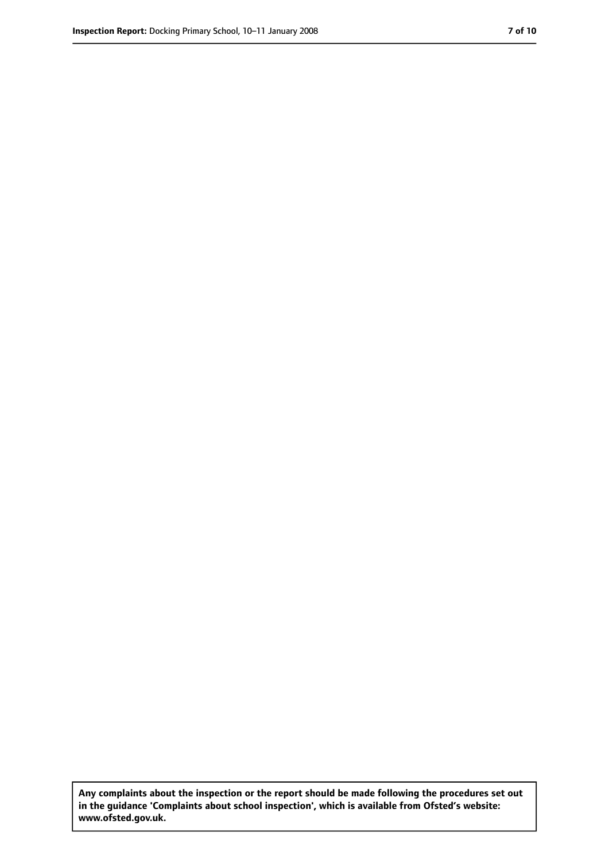**Any complaints about the inspection or the report should be made following the procedures set out in the guidance 'Complaints about school inspection', which is available from Ofsted's website: www.ofsted.gov.uk.**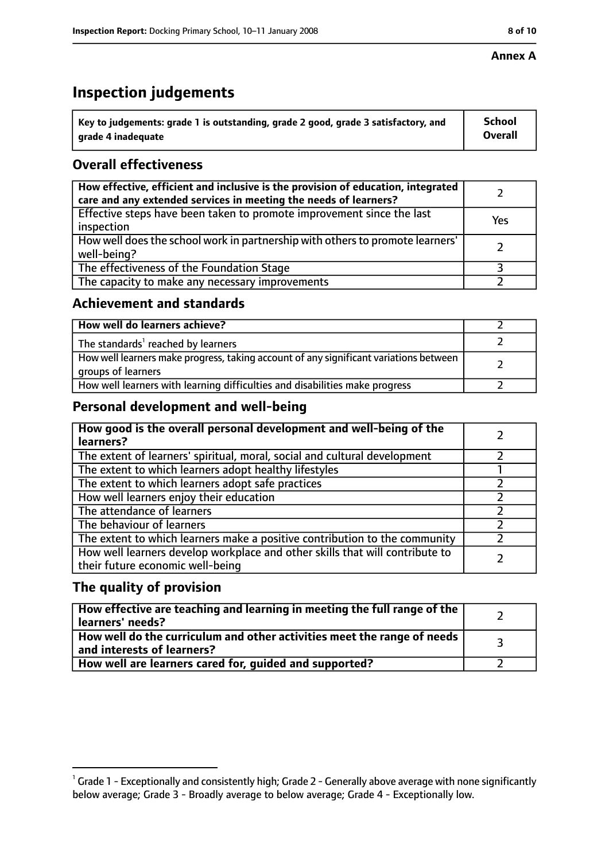#### **Annex A**

# **Inspection judgements**

| $^{\circ}$ Key to judgements: grade 1 is outstanding, grade 2 good, grade 3 satisfactory, and | School         |
|-----------------------------------------------------------------------------------------------|----------------|
| arade 4 inadequate                                                                            | <b>Overall</b> |

## **Overall effectiveness**

| How effective, efficient and inclusive is the provision of education, integrated<br>care and any extended services in meeting the needs of learners? |     |
|------------------------------------------------------------------------------------------------------------------------------------------------------|-----|
| Effective steps have been taken to promote improvement since the last<br>inspection                                                                  | Yes |
| How well does the school work in partnership with others to promote learners'<br>well-being?                                                         |     |
| The effectiveness of the Foundation Stage                                                                                                            |     |
| The capacity to make any necessary improvements                                                                                                      |     |

#### **Achievement and standards**

| How well do learners achieve?                                                                               |  |
|-------------------------------------------------------------------------------------------------------------|--|
| The standards <sup>1</sup> reached by learners                                                              |  |
| How well learners make progress, taking account of any significant variations between<br>groups of learners |  |
| How well learners with learning difficulties and disabilities make progress                                 |  |

## **Personal development and well-being**

| How good is the overall personal development and well-being of the<br>learners?                                  |  |
|------------------------------------------------------------------------------------------------------------------|--|
| The extent of learners' spiritual, moral, social and cultural development                                        |  |
| The extent to which learners adopt healthy lifestyles                                                            |  |
| The extent to which learners adopt safe practices                                                                |  |
| How well learners enjoy their education                                                                          |  |
| The attendance of learners                                                                                       |  |
| The behaviour of learners                                                                                        |  |
| The extent to which learners make a positive contribution to the community                                       |  |
| How well learners develop workplace and other skills that will contribute to<br>their future economic well-being |  |

## **The quality of provision**

| How effective are teaching and learning in meeting the full range of the<br>learners' needs?          |  |
|-------------------------------------------------------------------------------------------------------|--|
| How well do the curriculum and other activities meet the range of needs<br>and interests of learners? |  |
| How well are learners cared for, guided and supported?                                                |  |

 $^1$  Grade 1 - Exceptionally and consistently high; Grade 2 - Generally above average with none significantly below average; Grade 3 - Broadly average to below average; Grade 4 - Exceptionally low.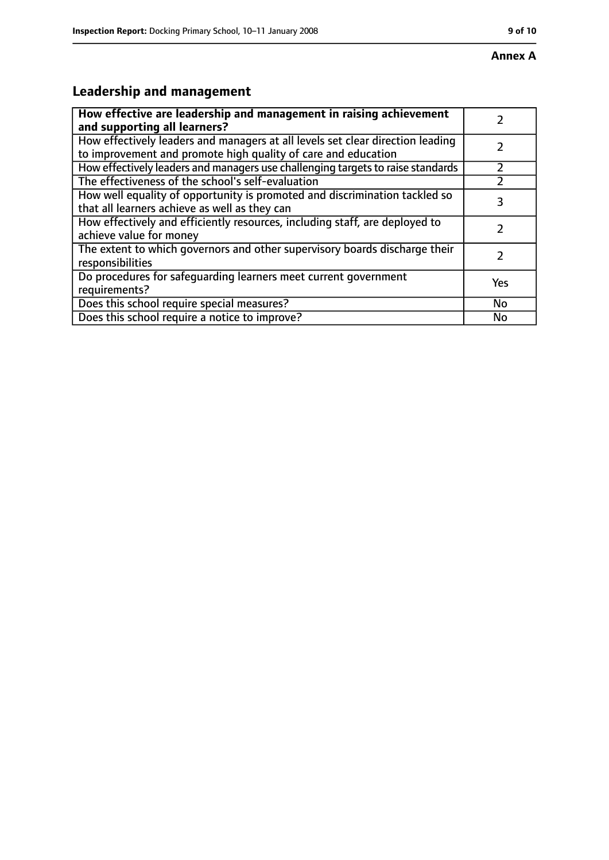# **Annex A**

# **Leadership and management**

| How effective are leadership and management in raising achievement<br>and supporting all learners?                                              |     |
|-------------------------------------------------------------------------------------------------------------------------------------------------|-----|
| How effectively leaders and managers at all levels set clear direction leading<br>to improvement and promote high quality of care and education |     |
| How effectively leaders and managers use challenging targets to raise standards                                                                 |     |
| The effectiveness of the school's self-evaluation                                                                                               |     |
| How well equality of opportunity is promoted and discrimination tackled so<br>that all learners achieve as well as they can                     | 3   |
| How effectively and efficiently resources, including staff, are deployed to<br>achieve value for money                                          |     |
| The extent to which governors and other supervisory boards discharge their<br>responsibilities                                                  |     |
| Do procedures for safequarding learners meet current government<br>requirements?                                                                | Yes |
| Does this school require special measures?                                                                                                      | No  |
| Does this school require a notice to improve?                                                                                                   | No  |